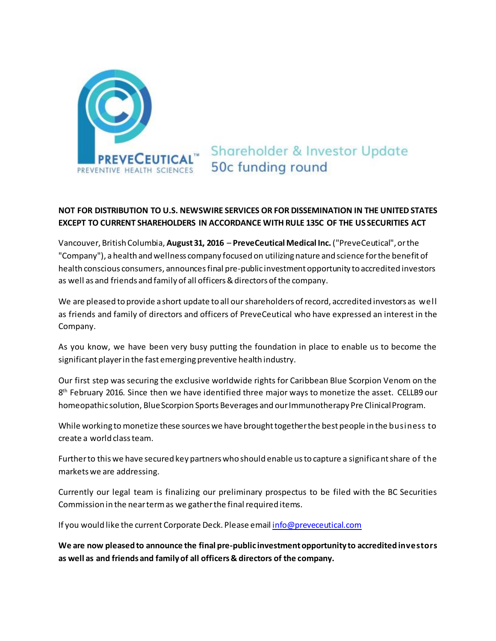

**Shareholder & Investor Update** 50c funding round

## **NOT FOR DISTRIBUTION TO U.S. NEWSWIRE SERVICES OR FOR DISSEMINATION IN THE UNITED STATES EXCEPT TO CURRENT SHAREHOLDERS IN ACCORDANCE WITH RULE 135C OF THE US SECURITIES ACT**

Vancouver, British Columbia, **August 31, 2016** – **PreveCeutical Medical Inc.** ("PreveCeutical", or the "Company"), a health and wellness company focused on utilizing nature and science for the benefit of health conscious consumers, announcesfinal pre-public investment opportunity to accredited investors as well as and friends and family of all officers & directors of the company.

We are pleased to provide a short update to all our shareholders of record, accredited investors as well as friends and family of directors and officers of PreveCeutical who have expressed an interest in the Company.

As you know, we have been very busy putting the foundation in place to enable us to become the significant player in the fast emerging preventive health industry.

Our first step was securing the exclusive worldwide rights for Caribbean Blue Scorpion Venom on the 8<sup>th</sup> February 2016. Since then we have identified three major ways to monetize the asset. CELLB9 our homeopathic solution, Blue Scorpion Sports Beverages and our Immunotherapy Pre Clinical Program.

While working to monetize these sources we have brought together the best people in the business to create a world class team.

Further to this we have secured key partners who should enable us to capture a significant share of the markets we are addressing.

Currently our legal team is finalizing our preliminary prospectus to be filed with the BC Securities Commission in the near term as we gather the final required items.

If you would like the current Corporate Deck. Please ema[il info@preveceutical.com](mailto:info@preveceutical.com)

**We are now pleased to announce the final pre-public investment opportunity to accredited investors as well as and friends and family of all officers & directors of the company.**